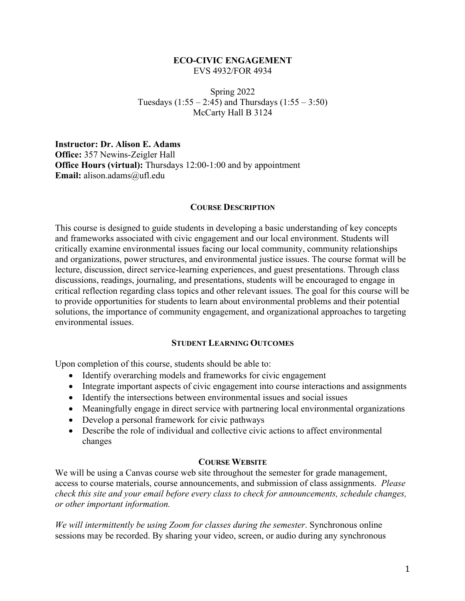### **ECO-CIVIC ENGAGEMENT** EVS 4932/FOR 4934

Spring 2022 Tuesdays  $(1:55 - 2:45)$  and Thursdays  $(1:55 - 3:50)$ McCarty Hall B 3124

**Instructor: Dr. Alison E. Adams Office:** 357 Newins-Zeigler Hall **Office Hours (virtual):** Thursdays 12:00-1:00 and by appointment **Email:** alison.adams@ufl.edu

### **COURSE DESCRIPTION**

This course is designed to guide students in developing a basic understanding of key concepts and frameworks associated with civic engagement and our local environment. Students will critically examine environmental issues facing our local community, community relationships and organizations, power structures, and environmental justice issues. The course format will be lecture, discussion, direct service-learning experiences, and guest presentations. Through class discussions, readings, journaling, and presentations, students will be encouraged to engage in critical reflection regarding class topics and other relevant issues. The goal for this course will be to provide opportunities for students to learn about environmental problems and their potential solutions, the importance of community engagement, and organizational approaches to targeting environmental issues.

### **STUDENT LEARNING OUTCOMES**

Upon completion of this course, students should be able to:

- Identify overarching models and frameworks for civic engagement
- Integrate important aspects of civic engagement into course interactions and assignments
- Identify the intersections between environmental issues and social issues
- Meaningfully engage in direct service with partnering local environmental organizations
- Develop a personal framework for civic pathways
- Describe the role of individual and collective civic actions to affect environmental changes

### **COURSE WEBSITE**

We will be using a Canvas course web site throughout the semester for grade management, access to course materials, course announcements, and submission of class assignments. *Please check this site and your email before every class to check for announcements, schedule changes, or other important information.*

*We will intermittently be using Zoom for classes during the semester*. Synchronous online sessions may be recorded. By sharing your video, screen, or audio during any synchronous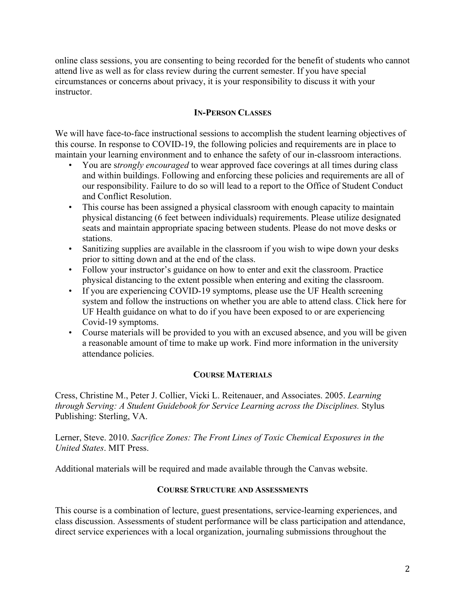online class sessions, you are consenting to being recorded for the benefit of students who cannot attend live as well as for class review during the current semester. If you have special circumstances or concerns about privacy, it is your responsibility to discuss it with your instructor.

## **IN-PERSON CLASSES**

We will have face-to-face instructional sessions to accomplish the student learning objectives of this course. In response to COVID-19, the following policies and requirements are in place to maintain your learning environment and to enhance the safety of our in-classroom interactions.

- You are s*trongly encouraged* to wear approved face coverings at all times during class and within buildings. Following and enforcing these policies and requirements are all of our responsibility. Failure to do so will lead to a report to the Office of Student Conduct and Conflict Resolution.
- This course has been assigned a physical classroom with enough capacity to maintain physical distancing (6 feet between individuals) requirements. Please utilize designated seats and maintain appropriate spacing between students. Please do not move desks or stations.
- Sanitizing supplies are available in the classroom if you wish to wipe down your desks prior to sitting down and at the end of the class.
- Follow your instructor's guidance on how to enter and exit the classroom. Practice physical distancing to the extent possible when entering and exiting the classroom.
- If you are experiencing COVID-19 symptoms, please use the UF Health screening system and follow the instructions on whether you are able to attend class. Click here for UF Health guidance on what to do if you have been exposed to or are experiencing Covid-19 symptoms.
- Course materials will be provided to you with an excused absence, and you will be given a reasonable amount of time to make up work. Find more information in the university attendance policies.

## **COURSE MATERIALS**

Cress, Christine M., Peter J. Collier, Vicki L. Reitenauer, and Associates. 2005. *Learning through Serving: A Student Guidebook for Service Learning across the Disciplines.* Stylus Publishing: Sterling, VA.

Lerner, Steve. 2010. *Sacrifice Zones: The Front Lines of Toxic Chemical Exposures in the United States*. MIT Press.

Additional materials will be required and made available through the Canvas website.

### **COURSE STRUCTURE AND ASSESSMENTS**

This course is a combination of lecture, guest presentations, service-learning experiences, and class discussion. Assessments of student performance will be class participation and attendance, direct service experiences with a local organization, journaling submissions throughout the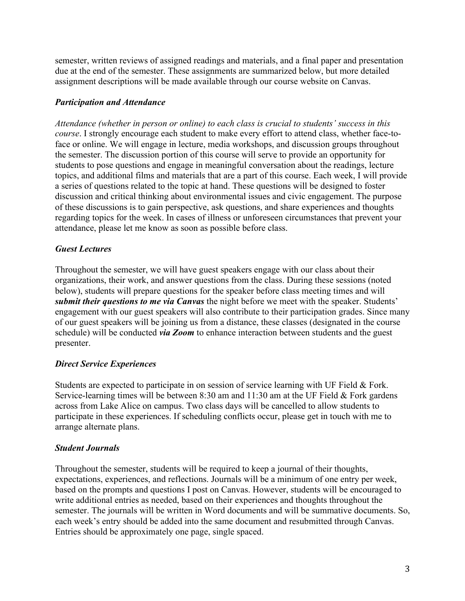semester, written reviews of assigned readings and materials, and a final paper and presentation due at the end of the semester. These assignments are summarized below, but more detailed assignment descriptions will be made available through our course website on Canvas.

# *Participation and Attendance*

*Attendance (whether in person or online) to each class is crucial to students' success in this course*. I strongly encourage each student to make every effort to attend class, whether face-toface or online. We will engage in lecture, media workshops, and discussion groups throughout the semester. The discussion portion of this course will serve to provide an opportunity for students to pose questions and engage in meaningful conversation about the readings, lecture topics, and additional films and materials that are a part of this course. Each week, I will provide a series of questions related to the topic at hand. These questions will be designed to foster discussion and critical thinking about environmental issues and civic engagement. The purpose of these discussions is to gain perspective, ask questions, and share experiences and thoughts regarding topics for the week. In cases of illness or unforeseen circumstances that prevent your attendance, please let me know as soon as possible before class.

# *Guest Lectures*

Throughout the semester, we will have guest speakers engage with our class about their organizations, their work, and answer questions from the class. During these sessions (noted below), students will prepare questions for the speaker before class meeting times and will *submit their questions to me via Canvas* the night before we meet with the speaker. Students' engagement with our guest speakers will also contribute to their participation grades. Since many of our guest speakers will be joining us from a distance, these classes (designated in the course schedule) will be conducted *via Zoom* to enhance interaction between students and the guest presenter.

## *Direct Service Experiences*

Students are expected to participate in on session of service learning with UF Field & Fork. Service-learning times will be between 8:30 am and 11:30 am at the UF Field & Fork gardens across from Lake Alice on campus. Two class days will be cancelled to allow students to participate in these experiences. If scheduling conflicts occur, please get in touch with me to arrange alternate plans.

# *Student Journals*

Throughout the semester, students will be required to keep a journal of their thoughts, expectations, experiences, and reflections. Journals will be a minimum of one entry per week, based on the prompts and questions I post on Canvas. However, students will be encouraged to write additional entries as needed, based on their experiences and thoughts throughout the semester. The journals will be written in Word documents and will be summative documents. So, each week's entry should be added into the same document and resubmitted through Canvas. Entries should be approximately one page, single spaced.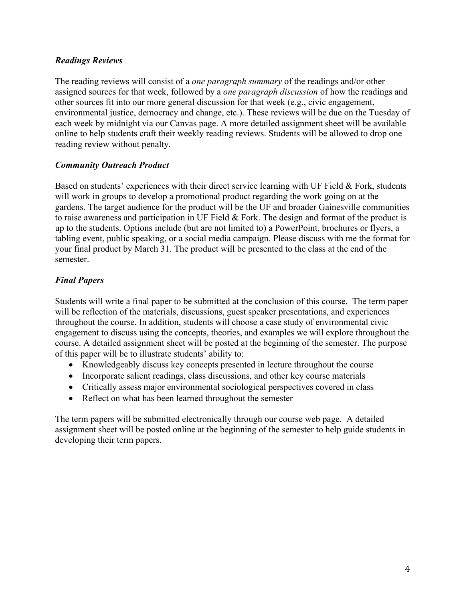# *Readings Reviews*

The reading reviews will consist of a *one paragraph summary* of the readings and/or other assigned sources for that week, followed by a *one paragraph discussion* of how the readings and other sources fit into our more general discussion for that week (e.g., civic engagement, environmental justice, democracy and change, etc.). These reviews will be due on the Tuesday of each week by midnight via our Canvas page. A more detailed assignment sheet will be available online to help students craft their weekly reading reviews. Students will be allowed to drop one reading review without penalty.

# *Community Outreach Product*

Based on students' experiences with their direct service learning with UF Field & Fork, students will work in groups to develop a promotional product regarding the work going on at the gardens. The target audience for the product will be the UF and broader Gainesville communities to raise awareness and participation in UF Field & Fork. The design and format of the product is up to the students. Options include (but are not limited to) a PowerPoint, brochures or flyers, a tabling event, public speaking, or a social media campaign. Please discuss with me the format for your final product by March 31. The product will be presented to the class at the end of the semester.

# *Final Papers*

Students will write a final paper to be submitted at the conclusion of this course. The term paper will be reflection of the materials, discussions, guest speaker presentations, and experiences throughout the course. In addition, students will choose a case study of environmental civic engagement to discuss using the concepts, theories, and examples we will explore throughout the course. A detailed assignment sheet will be posted at the beginning of the semester. The purpose of this paper will be to illustrate students' ability to:

- Knowledgeably discuss key concepts presented in lecture throughout the course
- Incorporate salient readings, class discussions, and other key course materials
- Critically assess major environmental sociological perspectives covered in class
- Reflect on what has been learned throughout the semester

The term papers will be submitted electronically through our course web page. A detailed assignment sheet will be posted online at the beginning of the semester to help guide students in developing their term papers.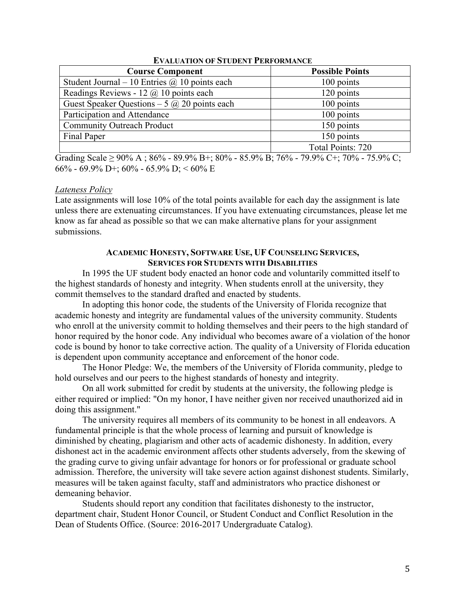| <b>Course Component</b>                              | <b>Possible Points</b> |
|------------------------------------------------------|------------------------|
| Student Journal – 10 Entries $\omega$ 10 points each | 100 points             |
| Readings Reviews - 12 $\omega$ 10 points each        | 120 points             |
| Guest Speaker Questions – 5 $\omega$ 20 points each  | 100 points             |
| Participation and Attendance                         | 100 points             |
| <b>Community Outreach Product</b>                    | 150 points             |
| Final Paper                                          | 150 points             |
|                                                      | Total Points: 720      |

#### **EVALUATION OF STUDENT PERFORMANCE**

Grading Scale  $\geq$  90% A; 86% - 89.9% B+; 80% - 85.9% B; 76% - 79.9% C+; 70% - 75.9% C; 66% - 69.9% D+; 60% - 65.9% D; < 60% E

#### *Lateness Policy*

Late assignments will lose 10% of the total points available for each day the assignment is late unless there are extenuating circumstances. If you have extenuating circumstances, please let me know as far ahead as possible so that we can make alternative plans for your assignment submissions.

#### **ACADEMIC HONESTY, SOFTWARE USE, UF COUNSELING SERVICES, SERVICES FOR STUDENTS WITH DISABILITIES**

In 1995 the UF student body enacted an honor code and voluntarily committed itself to the highest standards of honesty and integrity. When students enroll at the university, they commit themselves to the standard drafted and enacted by students.

In adopting this honor code, the students of the University of Florida recognize that academic honesty and integrity are fundamental values of the university community. Students who enroll at the university commit to holding themselves and their peers to the high standard of honor required by the honor code. Any individual who becomes aware of a violation of the honor code is bound by honor to take corrective action. The quality of a University of Florida education is dependent upon community acceptance and enforcement of the honor code.

The Honor Pledge: We, the members of the University of Florida community, pledge to hold ourselves and our peers to the highest standards of honesty and integrity.

On all work submitted for credit by students at the university, the following pledge is either required or implied: "On my honor, I have neither given nor received unauthorized aid in doing this assignment."

The university requires all members of its community to be honest in all endeavors. A fundamental principle is that the whole process of learning and pursuit of knowledge is diminished by cheating, plagiarism and other acts of academic dishonesty. In addition, every dishonest act in the academic environment affects other students adversely, from the skewing of the grading curve to giving unfair advantage for honors or for professional or graduate school admission. Therefore, the university will take severe action against dishonest students. Similarly, measures will be taken against faculty, staff and administrators who practice dishonest or demeaning behavior.

Students should report any condition that facilitates dishonesty to the instructor, department chair, Student Honor Council, or Student Conduct and Conflict Resolution in the Dean of Students Office. (Source: 2016-2017 Undergraduate Catalog).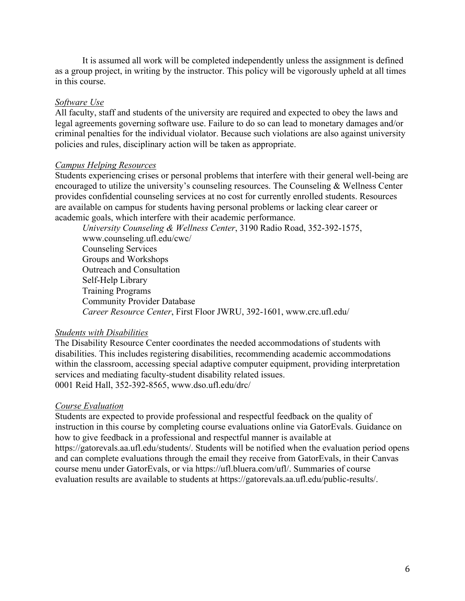It is assumed all work will be completed independently unless the assignment is defined as a group project, in writing by the instructor. This policy will be vigorously upheld at all times in this course.

#### *Software Use*

All faculty, staff and students of the university are required and expected to obey the laws and legal agreements governing software use. Failure to do so can lead to monetary damages and/or criminal penalties for the individual violator. Because such violations are also against university policies and rules, disciplinary action will be taken as appropriate.

#### *Campus Helping Resources*

Students experiencing crises or personal problems that interfere with their general well-being are encouraged to utilize the university's counseling resources. The Counseling & Wellness Center provides confidential counseling services at no cost for currently enrolled students. Resources are available on campus for students having personal problems or lacking clear career or academic goals, which interfere with their academic performance.

*University Counseling & Wellness Center*, 3190 Radio Road, 352-392-1575, www.counseling.ufl.edu/cwc/ Counseling Services Groups and Workshops Outreach and Consultation Self-Help Library Training Programs Community Provider Database *Career Resource Center*, First Floor JWRU, 392-1601, www.crc.ufl.edu/

#### *Students with Disabilities*

The Disability Resource Center coordinates the needed accommodations of students with disabilities. This includes registering disabilities, recommending academic accommodations within the classroom, accessing special adaptive computer equipment, providing interpretation services and mediating faculty-student disability related issues. 0001 Reid Hall, 352-392-8565, www.dso.ufl.edu/drc/

### *Course Evaluation*

Students are expected to provide professional and respectful feedback on the quality of instruction in this course by completing course evaluations online via GatorEvals. Guidance on how to give feedback in a professional and respectful manner is available at https://gatorevals.aa.ufl.edu/students/. Students will be notified when the evaluation period opens and can complete evaluations through the email they receive from GatorEvals, in their Canvas course menu under GatorEvals, or via https://ufl.bluera.com/ufl/. Summaries of course evaluation results are available to students at https://gatorevals.aa.ufl.edu/public-results/.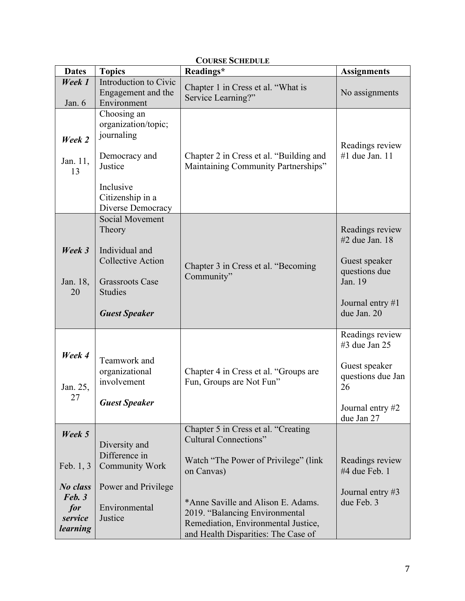| <b>Dates</b>                      | <b>Topics</b>                                                                                                                               | COUNSE SCHEDULE<br>Readings*                                                                                                                       | <b>Assignments</b>                                                                                                |
|-----------------------------------|---------------------------------------------------------------------------------------------------------------------------------------------|----------------------------------------------------------------------------------------------------------------------------------------------------|-------------------------------------------------------------------------------------------------------------------|
| Week 1<br>Jan. 6                  | Introduction to Civic<br>Engagement and the<br>Environment                                                                                  | Chapter 1 in Cress et al. "What is<br>Service Learning?"                                                                                           | No assignments                                                                                                    |
| Week 2<br>Jan. 11,<br>13          | Choosing an<br>organization/topic;<br>journaling<br>Democracy and<br>Justice<br>Inclusive<br>Citizenship in a<br>Diverse Democracy          | Chapter 2 in Cress et al. "Building and<br>Maintaining Community Partnerships"                                                                     | Readings review<br>#1 due Jan. 11                                                                                 |
| Week 3<br>Jan. 18,<br>20          | Social Movement<br>Theory<br>Individual and<br><b>Collective Action</b><br><b>Grassroots Case</b><br><b>Studies</b><br><b>Guest Speaker</b> | Chapter 3 in Cress et al. "Becoming<br>Community"                                                                                                  | Readings review<br>#2 due Jan. 18<br>Guest speaker<br>questions due<br>Jan. 19<br>Journal entry #1<br>due Jan. 20 |
| Week 4<br>Jan. 25,<br>27          | Teamwork and<br>organizational<br>involvement<br><b>Guest Speaker</b>                                                                       | Chapter 4 in Cress et al. "Groups are<br>Fun, Groups are Not Fun"                                                                                  | Readings review<br>$#3$ due Jan 25<br>Guest speaker<br>questions due Jan<br>26<br>Journal entry #2<br>due Jan 27  |
| Week 5                            | Diversity and<br>Difference in                                                                                                              | Chapter 5 in Cress et al. "Creating<br><b>Cultural Connections"</b>                                                                                |                                                                                                                   |
| Feb. $1, 3$<br>No class<br>Feb. 3 | <b>Community Work</b><br>Power and Privilege                                                                                                | Watch "The Power of Privilege" (link<br>on Canvas)                                                                                                 | Readings review<br>#4 due Feb. 1<br>Journal entry #3                                                              |
| for<br>service<br>learning        | Environmental<br>Justice                                                                                                                    | *Anne Saville and Alison E. Adams.<br>2019. "Balancing Environmental<br>Remediation, Environmental Justice,<br>and Health Disparities: The Case of | due Feb. 3                                                                                                        |

# **COURSE SCHEDULE**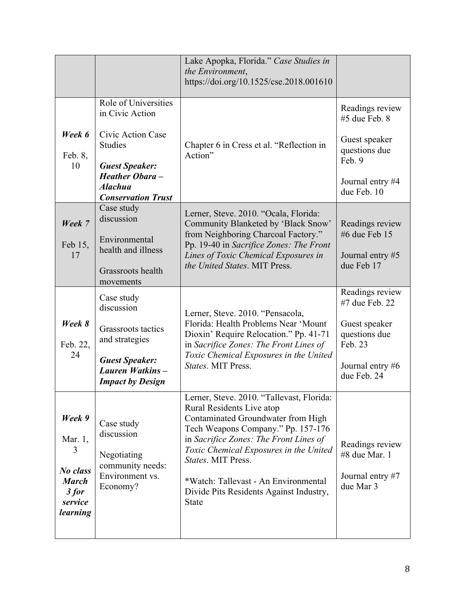|                                                                                      |                                                                                                                                                                                                              | Lake Apopka, Florida." Case Studies in<br>the Environment,<br>https://doi.org/10.1525/cse.2018.001610                                                                                                                                                                                                                                                           |                                                                                                                   |
|--------------------------------------------------------------------------------------|--------------------------------------------------------------------------------------------------------------------------------------------------------------------------------------------------------------|-----------------------------------------------------------------------------------------------------------------------------------------------------------------------------------------------------------------------------------------------------------------------------------------------------------------------------------------------------------------|-------------------------------------------------------------------------------------------------------------------|
| Week 6<br>Feb. 8,<br>10                                                              | Role of Universities<br>in Civic Action<br>Civic Action Case<br><b>Studies</b><br><b>Guest Speaker:</b><br><b>Heather Obara -</b><br><b>Alachua</b><br><b>Conservation Trust</b><br>Case study<br>discussion | Chapter 6 in Cress et al. "Reflection in<br>Action"<br>Lerner, Steve. 2010. "Ocala, Florida:                                                                                                                                                                                                                                                                    | Readings review<br>#5 due Feb. 8<br>Guest speaker<br>questions due<br>Feb. 9<br>Journal entry #4<br>due Feb. 10   |
| Week 7<br>Feb 15,<br>17                                                              | Environmental<br>health and illness<br>Grassroots health<br>movements                                                                                                                                        | Community Blanketed by 'Black Snow'<br>from Neighboring Charcoal Factory."<br>Pp. 19-40 in Sacrifice Zones: The Front<br>Lines of Toxic Chemical Exposures in<br>the United States. MIT Press.                                                                                                                                                                  | Readings review<br>#6 due Feb 15<br>Journal entry #5<br>due Feb 17                                                |
| Week 8<br>Feb. 22,<br>24                                                             | Case study<br>discussion<br>Grassroots tactics<br>and strategies<br><b>Guest Speaker:</b><br>Lauren Watkins-<br><b>Impact by Design</b>                                                                      | Lerner, Steve. 2010. "Pensacola,<br>Florida: Health Problems Near 'Mount<br>Dioxin' Require Relocation." Pp. 41-71<br>in Sacrifice Zones: The Front Lines of<br>Toxic Chemical Exposures in the United<br>States. MIT Press.                                                                                                                                    | Readings review<br>#7 due Feb. 22<br>Guest speaker<br>questions due<br>Feb. 23<br>Journal entry #6<br>due Feb. 24 |
| Week 9<br>Mar. 1,<br>3<br>No class<br><b>March</b><br>$3$ for<br>service<br>learning | Case study<br>discussion<br>Negotiating<br>community needs:<br>Environment vs.<br>Economy?                                                                                                                   | Lerner, Steve. 2010. "Tallevast, Florida:<br>Rural Residents Live atop<br>Contaminated Groundwater from High<br>Tech Weapons Company." Pp. 157-176<br>in Sacrifice Zones: The Front Lines of<br>Toxic Chemical Exposures in the United<br>States. MIT Press.<br>*Watch: Tallevast - An Environmental<br>Divide Pits Residents Against Industry,<br><b>State</b> | Readings review<br>#8 due Mar. 1<br>Journal entry #7<br>due Mar 3                                                 |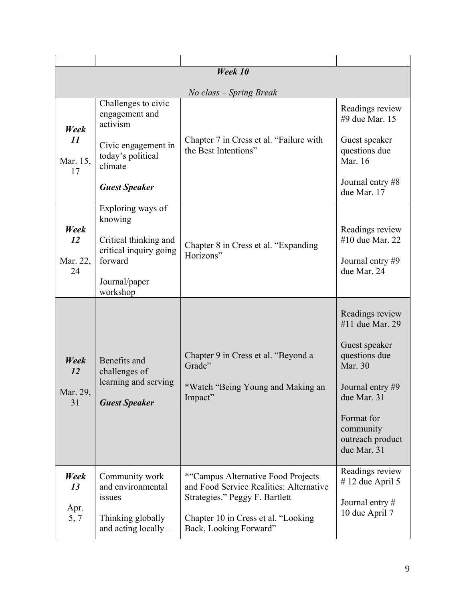| Week 10                      |                                                                               |                                                                                                 |                                                            |
|------------------------------|-------------------------------------------------------------------------------|-------------------------------------------------------------------------------------------------|------------------------------------------------------------|
| No class – Spring Break      |                                                                               |                                                                                                 |                                                            |
| Week<br>11<br>Mar. 15,<br>17 | Challenges to civic<br>engagement and<br>activism                             |                                                                                                 | Readings review<br>#9 due Mar. 15                          |
|                              | Civic engagement in<br>today's political<br>climate                           | Chapter 7 in Cress et al. "Failure with<br>the Best Intentions"                                 | Guest speaker<br>questions due<br>Mar. 16                  |
|                              | <b>Guest Speaker</b>                                                          |                                                                                                 | Journal entry #8<br>due Mar. 17                            |
|                              | Exploring ways of<br>knowing                                                  |                                                                                                 |                                                            |
| Week<br>12                   | Critical thinking and<br>critical inquiry going                               | Chapter 8 in Cress et al. "Expanding                                                            | Readings review<br>#10 due Mar. 22                         |
| Mar. 22,<br>24               | forward                                                                       | Horizons"                                                                                       | Journal entry #9<br>due Mar. 24                            |
|                              | Journal/paper<br>workshop                                                     |                                                                                                 |                                                            |
|                              |                                                                               |                                                                                                 | Readings review<br>#11 due Mar. 29                         |
| Week<br>12<br>Mar. 29,<br>31 | Benefits and<br>challenges of<br>learning and serving<br><b>Guest Speaker</b> | Chapter 9 in Cress et al. "Beyond a<br>Grade"                                                   | Guest speaker<br>questions due<br>Mar. 30                  |
|                              |                                                                               | *Watch "Being Young and Making an<br>Impact"                                                    | Journal entry #9<br>due Mar. 31                            |
|                              |                                                                               |                                                                                                 | Format for<br>community<br>outreach product<br>due Mar. 31 |
| Week<br>13                   | Community work<br>and environmental                                           | *"Campus Alternative Food Projects<br>and Food Service Realities: Alternative                   | Readings review<br>$# 12$ due April 5                      |
| Apr.<br>5, 7                 | issues<br>Thinking globally<br>and acting locally -                           | Strategies." Peggy F. Bartlett<br>Chapter 10 in Cress et al. "Looking<br>Back, Looking Forward" | Journal entry #<br>10 due April 7                          |